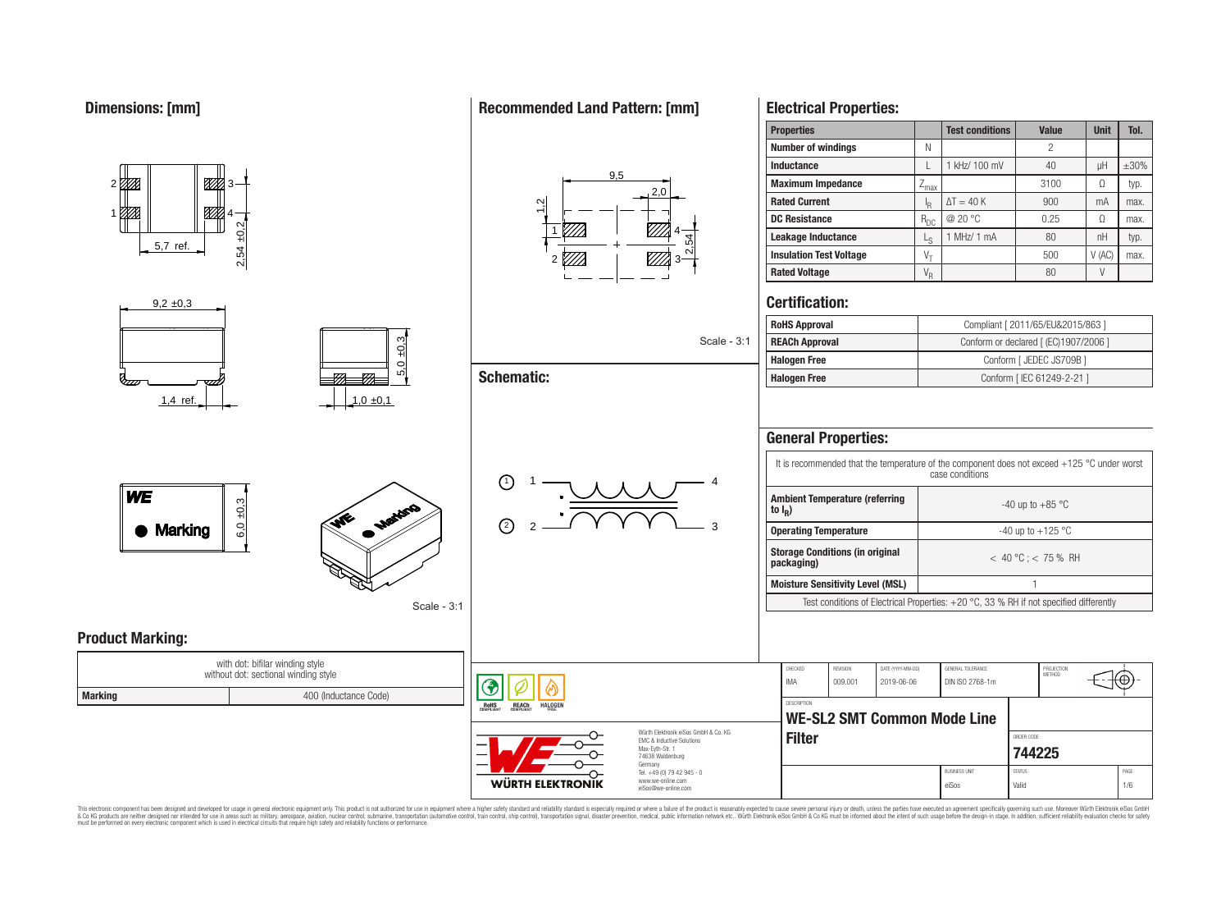1

71TI.

**Product Marking:**

2,54 ±0,2

4

<u>77. J</u>

**MA** 

# **Recommended Land Pattern: [mm]**



| 5,7 ref.                                                        |             | <u> 2777   </u>                 | <i>VII</i><br>$\overline{54}$                                      | Leakage Inductance                      |                     | $L_S$                                                                                                                                       | 1 MHz/ 1 mA                                                                            | $80\,$                                | nH                         | typ.        |
|-----------------------------------------------------------------|-------------|---------------------------------|--------------------------------------------------------------------|-----------------------------------------|---------------------|---------------------------------------------------------------------------------------------------------------------------------------------|----------------------------------------------------------------------------------------|---------------------------------------|----------------------------|-------------|
| $2,54 \pm 0$                                                    |             |                                 |                                                                    | <b>Insulation Test Voltage</b>          |                     | $V_T$                                                                                                                                       |                                                                                        | 500                                   | V(AC)                      | max.        |
|                                                                 |             |                                 |                                                                    | <b>Rated Voltage</b>                    |                     | $V_R$                                                                                                                                       |                                                                                        | 80                                    | V                          |             |
| $9,2 \pm 0,3$                                                   |             |                                 |                                                                    | <b>Certification:</b>                   |                     |                                                                                                                                             |                                                                                        |                                       |                            |             |
|                                                                 |             |                                 |                                                                    | <b>RoHS Approval</b>                    |                     |                                                                                                                                             |                                                                                        | Compliant [ 2011/65/EU&2015/863 ]     |                            |             |
|                                                                 | ±0.3        |                                 | Scale - 3:1                                                        | <b>REACh Approval</b>                   |                     |                                                                                                                                             |                                                                                        | Conform or declared [ (EC)1907/2006 ] |                            |             |
|                                                                 | $\circ$     |                                 |                                                                    | <b>Halogen Free</b>                     |                     |                                                                                                                                             |                                                                                        | Conform [ JEDEC JS709B]               |                            |             |
|                                                                 | ທົ          | <b>Schematic:</b>               |                                                                    | <b>Halogen Free</b>                     |                     |                                                                                                                                             |                                                                                        | Conform [ IEC 61249-2-21 ]            |                            |             |
| $1,4$ ref.                                                      | 1,0,0,1     |                                 |                                                                    | <b>General Properties:</b>              |                     |                                                                                                                                             |                                                                                        |                                       |                            |             |
| <b>WE</b><br>$\frac{10}{3}$<br>Matting<br>6,0<br><b>Marking</b> |             | $\bigcirc$                      | <b>Ambient Temperature (referring</b><br>to $I_R$ )                |                                         |                     | It is recommended that the temperature of the component does not exceed +125 $^{\circ}$ C under worst case conditions<br>-40 up to $+85$ °C |                                                                                        |                                       |                            |             |
|                                                                 |             | $\Omega$                        | <b>Operating Temperature</b>                                       |                                         |                     | -40 up to +125 $^{\circ}$ C                                                                                                                 |                                                                                        |                                       |                            |             |
|                                                                 |             |                                 | <b>Storage Conditions (in original</b><br>packaging)               |                                         |                     | $< 40 °C$ ; < 75 % RH                                                                                                                       |                                                                                        |                                       |                            |             |
|                                                                 |             |                                 |                                                                    | <b>Moisture Sensitivity Level (MSL)</b> |                     |                                                                                                                                             |                                                                                        |                                       |                            |             |
|                                                                 | Scale - 3:1 |                                 |                                                                    |                                         |                     |                                                                                                                                             | Test conditions of Electrical Properties: +20 °C, 33 % RH if not specified differently |                                       |                            |             |
| <b>Product Marking:</b><br>with dot: bifilar winding style      |             |                                 |                                                                    |                                         |                     |                                                                                                                                             |                                                                                        |                                       |                            |             |
| without dot: sectional winding style                            |             | ♦                               |                                                                    | CHECKED<br>IMA                          | REVISION<br>009.001 | DATE (YYYY-MM-DD)<br>2019-06-06                                                                                                             | GENERAL TOLERANCE<br>DIN ISO 2768-1m                                                   | PROJECTION<br>METHOD                  | $\widehat{\mathbb{C}}$ (0) |             |
| <b>Marking</b><br>400 (Inductance Code)                         |             | ROHS<br><b>REACh</b><br>HALOGEN | DESCRIPTION<br><b>WE-SL2 SMT Common Mode Line</b><br><b>Filter</b> |                                         |                     |                                                                                                                                             |                                                                                        |                                       |                            |             |
|                                                                 |             |                                 |                                                                    |                                         |                     | ORDER CODE<br>744225                                                                                                                        |                                                                                        |                                       |                            |             |
|                                                                 |             | <b>WÜRTH ELEKTRONIK</b>         | Germany<br>Tel. +49 (0) 79 42 945 - 0<br>www.we-online.com         |                                         |                     |                                                                                                                                             | <b>BUSINESS UNIT</b><br>eiSos                                                          | <b>STATUS</b><br>Valid                |                            | PAGE<br>1/6 |
|                                                                 |             |                                 | eiSos@we-online.com                                                |                                         |                     |                                                                                                                                             |                                                                                        |                                       |                            |             |

**Properties Test conditions Value Unit V** 

**Inductance L L 1** kHz/ 100 mV **d** 40 **uH**  $\pm$ 30% **Maximum Impedance** Zmax 3100 Ω typ.

**DC Resistance** R<sub>DC</sub> @ 20 °C 0.25 Ω max.

 $\Delta T = 40 \text{ K}$  900 mA max.

1 MHz/ 1 mA | 80 | nH | typ.

**Number of windings** N N N N 2

 $\frac{I_R}{R_{DC}}$ 

**Rated Current** 

**Leakage Inductance** L

**Electrical Properties:**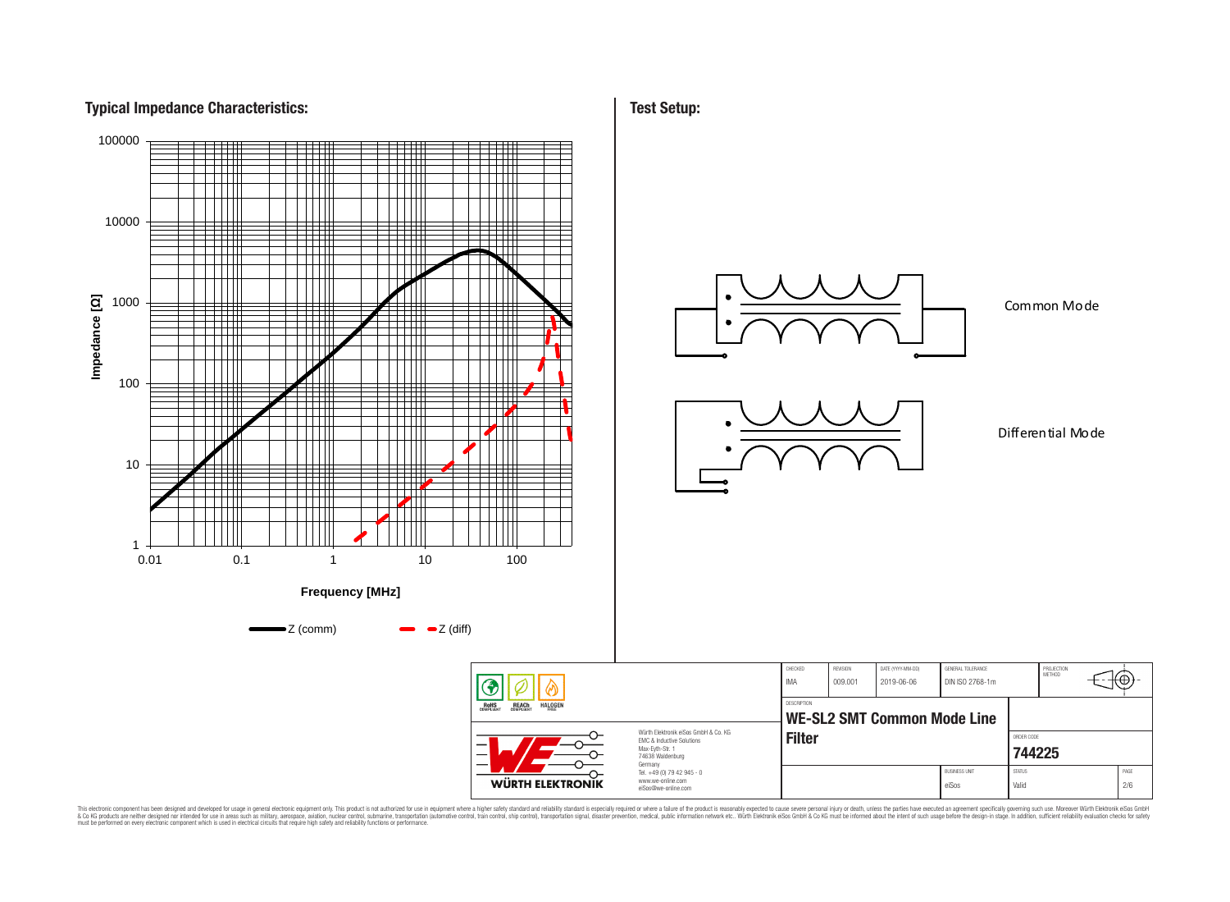## **Typical Impedance Characteristics:**



**Test Setup:**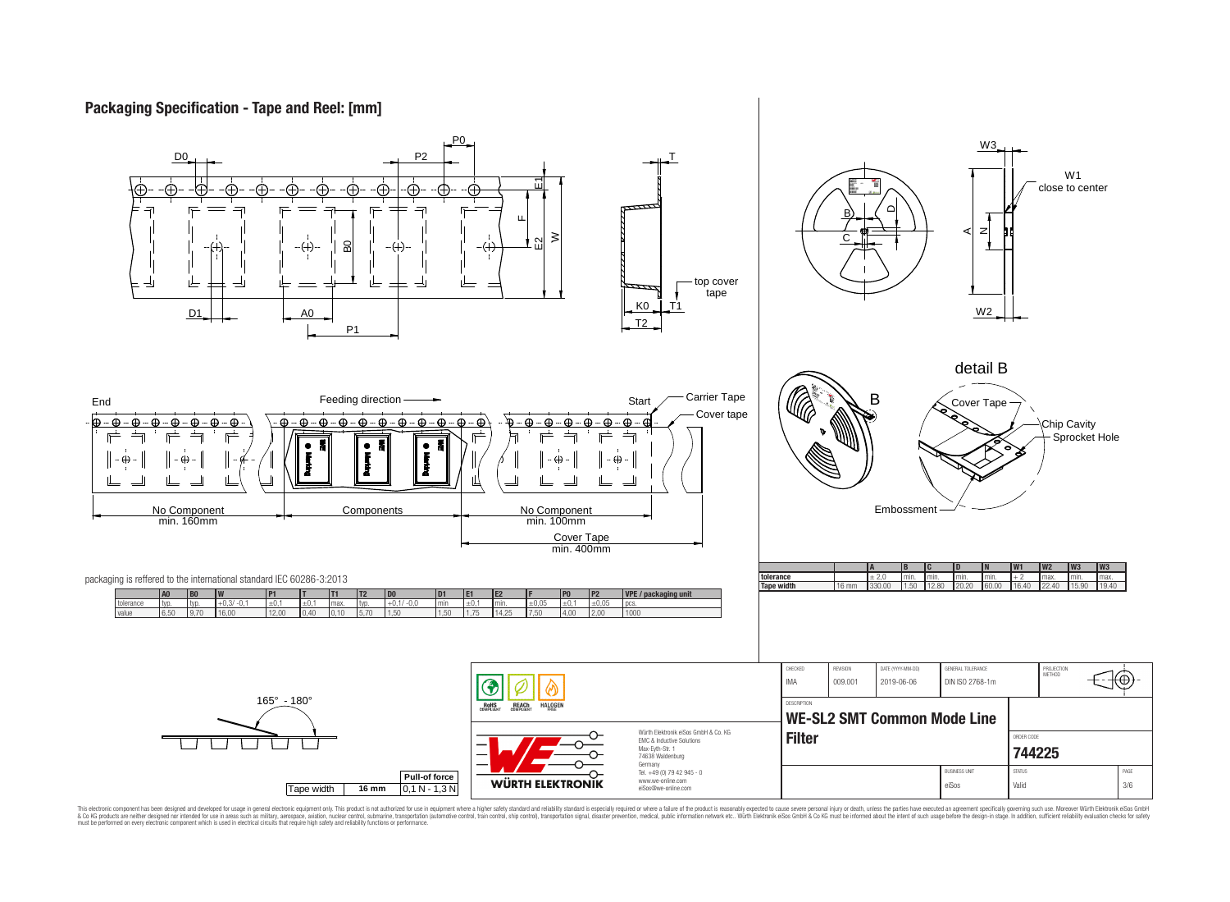# **Packaging Specification - Tape and Reel: [mm]**

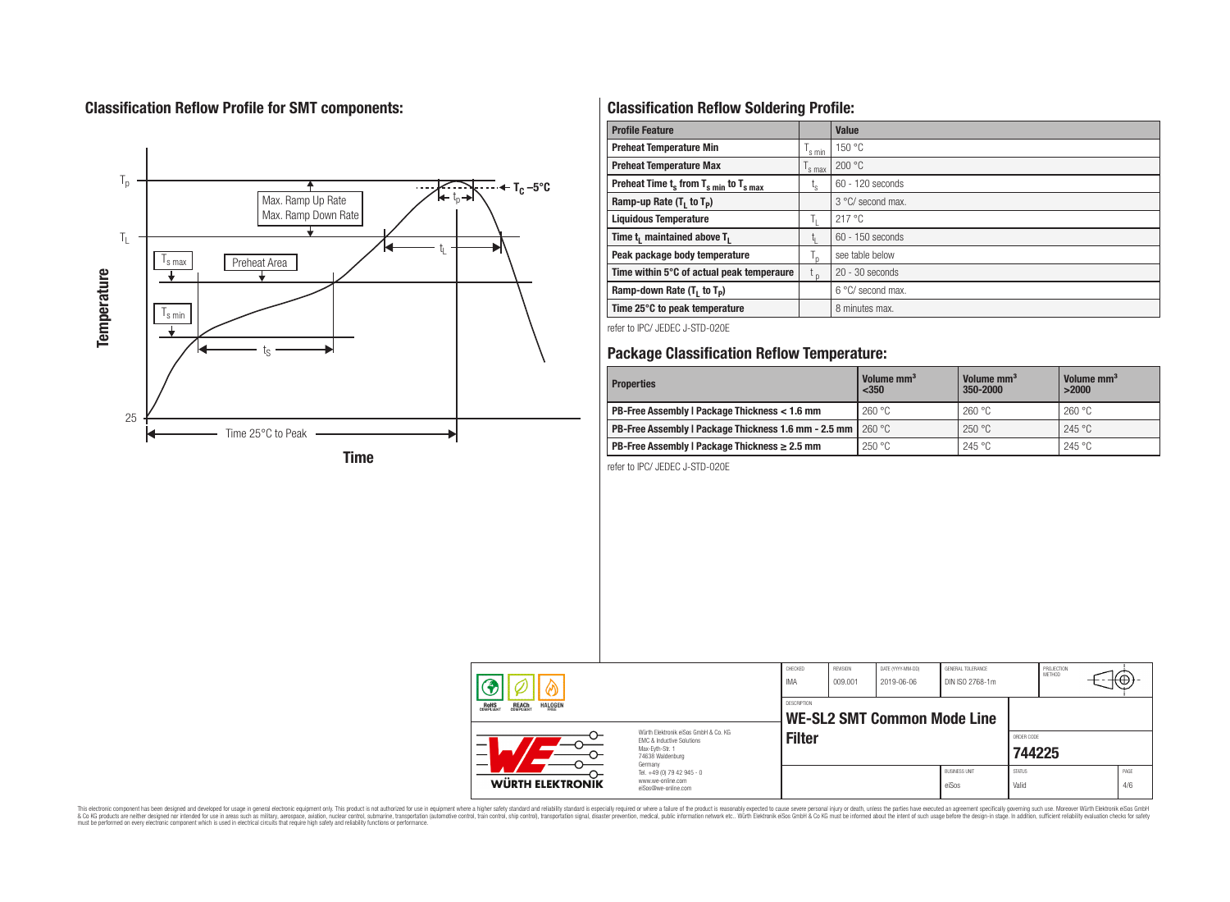# **Classification Reflow Profile for SMT components:**



# **Classification Reflow Soldering Profile:**

| <b>Profile Feature</b>                             |                    | Value                      |
|----------------------------------------------------|--------------------|----------------------------|
| <b>Preheat Temperature Min</b>                     | <sup>I</sup> s min | 150 °C                     |
| <b>Preheat Temperature Max</b>                     | 's max             | 200 °C                     |
| Preheat Time $t_s$ from $T_{s min}$ to $T_{s max}$ | t <sub>s</sub>     | $60 - 120$ seconds         |
| Ramp-up Rate $(T_1$ to $T_p$ )                     |                    | $3^{\circ}$ C/ second max. |
| <b>Liquidous Temperature</b>                       | $\mathbf{L}$       | 217 °C                     |
| Time $t_i$ maintained above $T_i$                  | կ                  | $60 - 150$ seconds         |
| Peak package body temperature                      | $T_{\sf p}$        | see table below            |
| Time within 5°C of actual peak temperaure          | $t_{p}$            | $20 - 30$ seconds          |
| Ramp-down Rate $(T_1$ to $T_p$ )                   |                    | 6 °C/ second max.          |
| Time 25°C to peak temperature                      |                    | 8 minutes max.             |

refer to IPC/ JEDEC J-STD-020E

# **Package Classification Reflow Temperature:**

| <b>Properties</b>                                                    | Volume mm <sup>3</sup><br>$350$ | Volume mm <sup>3</sup><br>350-2000 | Volume mm <sup>3</sup><br>>2000 |  |
|----------------------------------------------------------------------|---------------------------------|------------------------------------|---------------------------------|--|
| PB-Free Assembly   Package Thickness < 1.6 mm                        | 260 °C                          | 260 °C                             | 260 °C                          |  |
| <b>PB-Free Assembly   Package Thickness 1.6 mm - 2.5 mm   260 °C</b> |                                 | 250 °C                             | 245 °C                          |  |
| PB-Free Assembly   Package Thickness $\geq 2.5$ mm                   | 250 °C                          | 245 °C                             | 245 °C                          |  |

refer to IPC/ JEDEC J-STD-020E

| <b>REACH</b><br>COMPLIANT<br><b>HALOGEN</b><br><b>ROHS</b><br>COMPLIANT<br>FRFF |                                                                                                                                           | CHECKED<br><b>IMA</b>                                                             | REVISION<br>009.001                | DATE (YYYY-MM-DD)<br>2019-06-06 | GENERAL TOLERANCE<br>DIN ISO 2768-1m |                               | PROJECTION<br>METHOD   | ι€Φ |             |
|---------------------------------------------------------------------------------|-------------------------------------------------------------------------------------------------------------------------------------------|-----------------------------------------------------------------------------------|------------------------------------|---------------------------------|--------------------------------------|-------------------------------|------------------------|-----|-------------|
|                                                                                 |                                                                                                                                           | <b>DESCRIPTION</b>                                                                | <b>WE-SL2 SMT Common Mode Line</b> |                                 |                                      |                               |                        |     |             |
|                                                                                 | Würth Elektronik eiSos GmbH & Co. KG<br>EMC & Inductive Solutions<br>–<br>Max-Evth-Str. 1<br>$\overline{\phantom{0}}$<br>74638 Waldenburg |                                                                                   | <b>Filter</b>                      |                                 |                                      |                               | ORDER CODE<br>744225   |     |             |
|                                                                                 | <b>WÜRTH ELEKTRONIK</b>                                                                                                                   | Germany<br>Tel. +49 (0) 79 42 945 - 0<br>www.we-online.com<br>eiSos@we-online.com |                                    |                                 |                                      | <b>BUSINESS UNIT</b><br>eiSos | <b>STATUS</b><br>Valid |     | PAGE<br>4/6 |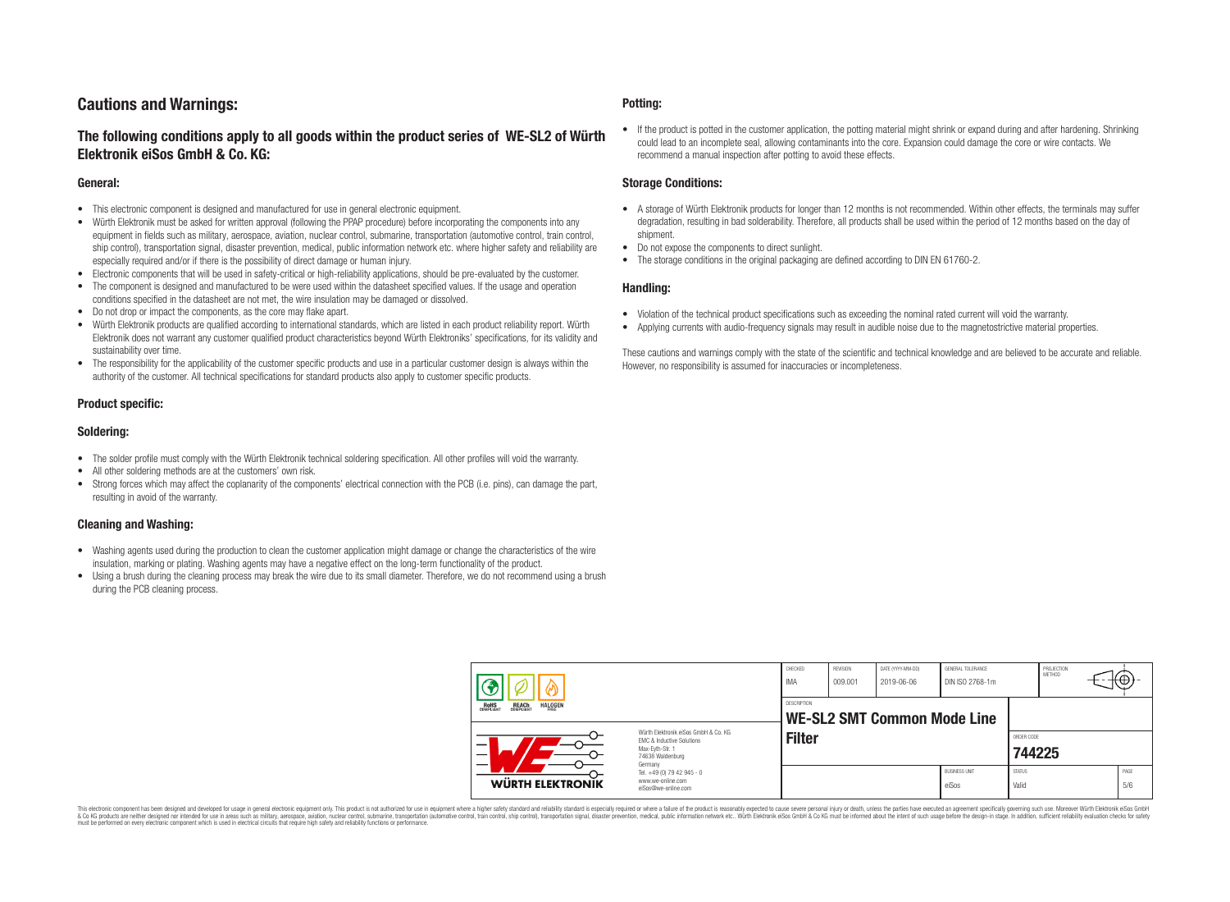# **Cautions and Warnings:**

## **The following conditions apply to all goods within the product series of WE-SL2 of Würth Elektronik eiSos GmbH & Co. KG:**

#### **General:**

- This electronic component is designed and manufactured for use in general electronic equipment.
- Würth Elektronik must be asked for written approval (following the PPAP procedure) before incorporating the components into any equipment in fields such as military, aerospace, aviation, nuclear control, submarine, transportation (automotive control, train control, ship control), transportation signal, disaster prevention, medical, public information network etc. where higher safety and reliability are especially required and/or if there is the possibility of direct damage or human injury.
- Electronic components that will be used in safety-critical or high-reliability applications, should be pre-evaluated by the customer.
- The component is designed and manufactured to be were used within the datasheet specified values. If the usage and operation conditions specified in the datasheet are not met, the wire insulation may be damaged or dissolved.
- Do not drop or impact the components, as the core may flake apart.
- Würth Elektronik products are qualified according to international standards, which are listed in each product reliability report. Würth Elektronik does not warrant any customer qualified product characteristics beyond Würth Elektroniks' specifications, for its validity and sustainability over time.
- The responsibility for the applicability of the customer specific products and use in a particular customer design is always within the authority of the customer. All technical specifications for standard products also apply to customer specific products.

## **Product specific:**

### **Soldering:**

- The solder profile must comply with the Würth Elektronik technical soldering specification. All other profiles will void the warranty.
- All other soldering methods are at the customers' own risk.
- Strong forces which may affect the coplanarity of the components' electrical connection with the PCB (i.e. pins), can damage the part, resulting in avoid of the warranty.

#### **Cleaning and Washing:**

- Washing agents used during the production to clean the customer application might damage or change the characteristics of the wire insulation, marking or plating. Washing agents may have a negative effect on the long-term functionality of the product.
- Using a brush during the cleaning process may break the wire due to its small diameter. Therefore, we do not recommend using a brush during the PCB cleaning process.

#### **Potting:**

• If the product is potted in the customer application, the potting material might shrink or expand during and after hardening. Shrinking could lead to an incomplete seal, allowing contaminants into the core. Expansion could damage the core or wire contacts. We recommend a manual inspection after potting to avoid these effects.

#### **Storage Conditions:**

- A storage of Würth Elektronik products for longer than 12 months is not recommended. Within other effects, the terminals may suffer degradation, resulting in bad solderability. Therefore, all products shall be used within the period of 12 months based on the day of shipment.
- Do not expose the components to direct sunlight.
- The storage conditions in the original packaging are defined according to DIN EN 61760-2.

#### **Handling:**

- Violation of the technical product specifications such as exceeding the nominal rated current will void the warranty.
- Applying currents with audio-frequency signals may result in audible noise due to the magnetostrictive material properties.

These cautions and warnings comply with the state of the scientific and technical knowledge and are believed to be accurate and reliable. However, no responsibility is assumed for inaccuracies or incompleteness.

| REACH<br>COMPLIANT<br><b>HALOGEN</b><br>ROHS<br>COMPLIANT<br>FRFF<br>Würth Flektronik eiSos GmbH & Co. KG<br><b>EMC &amp; Inductive Solutions</b><br>-<br>Max-Eyth-Str. 1<br>$\overline{\phantom{0}}$<br>74638 Waldenburg |                                                                                   | CHECKED<br>IMA | REVISION<br>009.001         | DATE (YYYY-MM-DD)<br>2019-06-06 | GENERAL TOLERANCE<br>DIN ISO 2768-1m |                        | PROJECTION<br><b>METHOD</b> | ₩Ψ |             |
|---------------------------------------------------------------------------------------------------------------------------------------------------------------------------------------------------------------------------|-----------------------------------------------------------------------------------|----------------|-----------------------------|---------------------------------|--------------------------------------|------------------------|-----------------------------|----|-------------|
|                                                                                                                                                                                                                           |                                                                                   | DESCRIPTION    | WE-SL2 SMT Common Mode Line |                                 |                                      |                        |                             |    |             |
|                                                                                                                                                                                                                           |                                                                                   | <b>Filter</b>  |                             |                                 |                                      | ORDER CODE<br>744225   |                             |    |             |
| <b>WÜRTH ELEKTRONIK</b>                                                                                                                                                                                                   | Germany<br>Tel. +49 (0) 79 42 945 - 0<br>www.we-online.com<br>eiSos@we-online.com |                |                             |                                 | <b>BUSINESS UNIT</b><br>eiSos        | <b>STATUS</b><br>Valid |                             |    | PAGE<br>5/6 |

This electronic component has been designed and developed for usage in general electronic equipment only. This product is not authorized for use in equipment where a higher safety standard and reliability standard si espec & Ook product a label and the membed of the seasuch as marked and as which such a membed and the such assume that income in the seasuch and the simulation and the such assume that include to the such a membed and the such